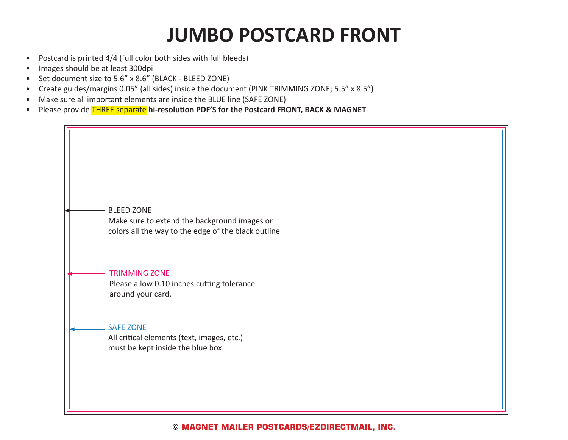### **JUMBO POSTCARD FRONT**

- Postcard is printed 4/4 (full color both sides with full bleeds)
- Images should be at least 300dpi
- Set document size to 5.6" x 8.6" (BLACK BLEED ZONE)
- Create guides/margins 0.05" (all sides) inside the document (PINK TRIMMING ZONE; 5.5" x 8.5")
- Make sure all important elements are inside the BLUE line (SAFE ZONE)
- Please provide THREE separate **hi-resolution PDF'S for the Postcard FRONT, BACK & MAGNET**

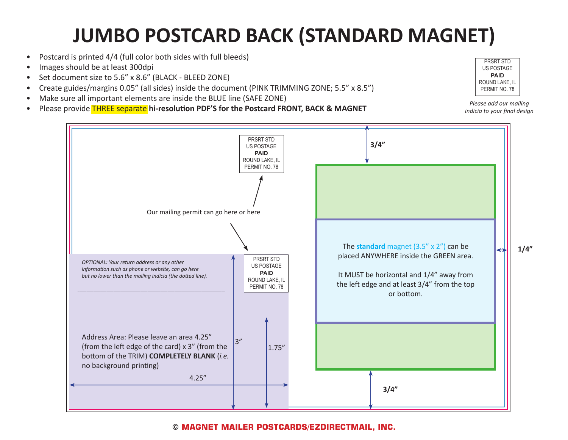# **JUMBO POSTCARD BACK (STANDARD MAGNET)**

- Postcard is printed 4/4 (full color both sides with full bleeds)
- Images should be at least 300dpi
- Set document size to 5.6" x 8.6" (BLACK BLEED ZONE)
- Create guides/margins 0.05" (all sides) inside the document (PINK TRIMMING ZONE; 5.5" x 8.5")
- Make sure all important elements are inside the BLUE line (SAFE ZONE)
- Please provide THREE separate **hi-resolution PDF'S for the Postcard FRONT, BACK & MAGNET**



*Please add our mailing indicia to your final design*



#### **© MAGNET MAILER POSTCARDS/EZDIRECTMAIL, INC.**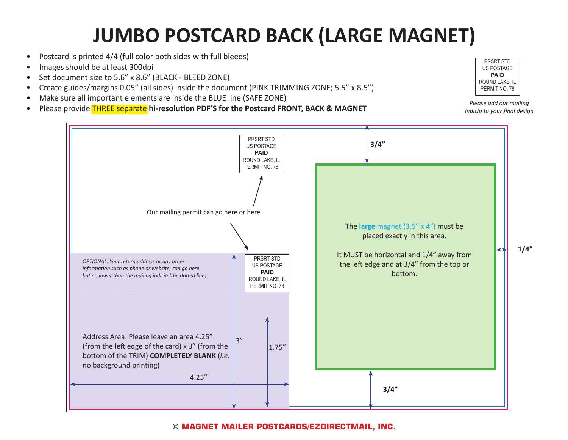## **JUMBO POSTCARD BACK (LARGE MAGNET)**

- Postcard is printed 4/4 (full color both sides with full bleeds)
- Images should be at least 300dpi
- Set document size to 5.6" x 8.6" (BLACK BLEED ZONE)
- Create guides/margins 0.05" (all sides) inside the document (PINK TRIMMING ZONE; 5.5" x 8.5")
- Make sure all important elements are inside the BLUE line (SAFE ZONE)
- Please provide THREE separate **hi-resolution PDF'S for the Postcard FRONT, BACK & MAGNET**



*Please add our mailing indicia to your final design*



### **© MAGNET MAILER POSTCARDS/EZDIRECTMAIL, INC.**